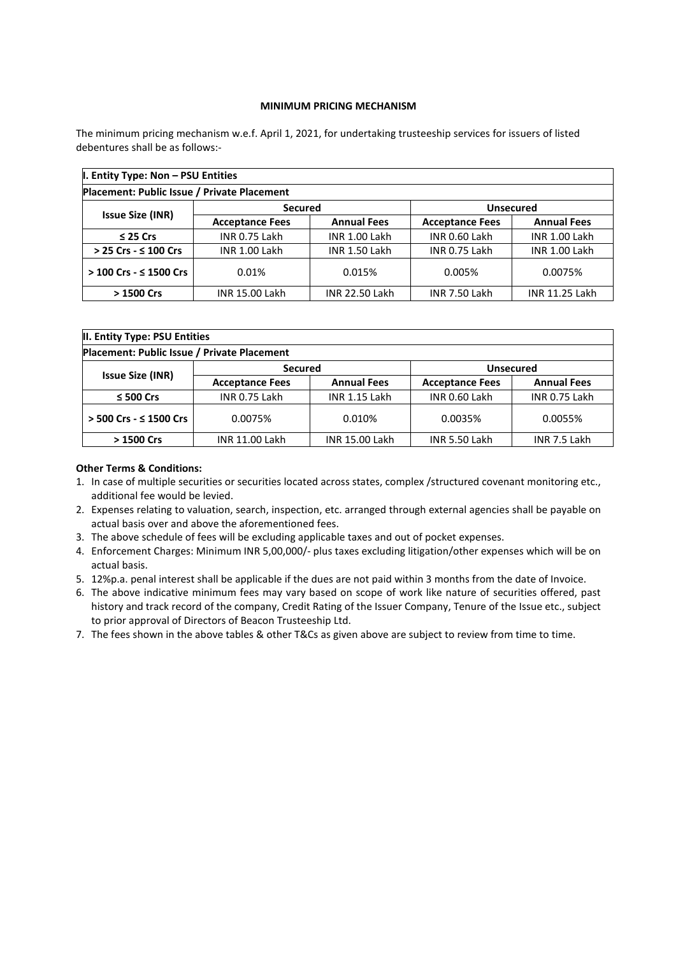### **MINIMUM PRICING MECHANISM**

The minimum pricing mechanism w.e.f. April 1, 2021, for undertaking trusteeship services for issuers of listed debentures shall be as follows:-

| I. Entity Type: Non - PSU Entities          |                        |                       |                        |                       |  |  |
|---------------------------------------------|------------------------|-----------------------|------------------------|-----------------------|--|--|
| Placement: Public Issue / Private Placement |                        |                       |                        |                       |  |  |
| <b>Issue Size (INR)</b>                     | <b>Secured</b>         |                       | <b>Unsecured</b>       |                       |  |  |
|                                             | <b>Acceptance Fees</b> | <b>Annual Fees</b>    | <b>Acceptance Fees</b> | <b>Annual Fees</b>    |  |  |
| $\leq$ 25 Crs                               | INR 0.75 Lakh          | <b>INR 1.00 Lakh</b>  | INR 0.60 Lakh          | <b>INR 1.00 Lakh</b>  |  |  |
| > 25 Crs - ≤ 100 Crs                        | <b>INR 1.00 Lakh</b>   | <b>INR 1.50 Lakh</b>  | <b>INR 0.75 Lakh</b>   | <b>INR 1.00 Lakh</b>  |  |  |
| $> 100$ Crs - $\leq 1500$ Crs               | 0.01%                  | 0.015%                | 0.005%                 | 0.0075%               |  |  |
| > 1500 Crs                                  | <b>INR 15.00 Lakh</b>  | <b>INR 22.50 Lakh</b> | <b>INR 7.50 Lakh</b>   | <b>INR 11.25 Lakh</b> |  |  |

| II. Entity Type: PSU Entities               |                        |                       |                        |                    |  |  |  |
|---------------------------------------------|------------------------|-----------------------|------------------------|--------------------|--|--|--|
| Placement: Public Issue / Private Placement |                        |                       |                        |                    |  |  |  |
| <b>Issue Size (INR)</b>                     | <b>Secured</b>         |                       | <b>Unsecured</b>       |                    |  |  |  |
|                                             | <b>Acceptance Fees</b> | <b>Annual Fees</b>    | <b>Acceptance Fees</b> | <b>Annual Fees</b> |  |  |  |
| $\leq$ 500 Crs                              | INR 0.75 Lakh          | <b>INR 1.15 Lakh</b>  | INR 0.60 Lakh          | INR 0.75 Lakh      |  |  |  |
| > 500 Crs - ≤ 1500 Crs                      | 0.0075%                | 0.010%                | 0.0035%                | 0.0055%            |  |  |  |
| > 1500 Crs                                  | <b>INR 11.00 Lakh</b>  | <b>INR 15.00 Lakh</b> | INR 5.50 Lakh          | INR 7.5 Lakh       |  |  |  |

### **Other Terms & Conditions:**

- 1. In case of multiple securities or securities located across states, complex /structured covenant monitoring etc., additional fee would be levied.
- 2. Expenses relating to valuation, search, inspection, etc. arranged through external agencies shall be payable on actual basis over and above the aforementioned fees.
- 3. The above schedule of fees will be excluding applicable taxes and out of pocket expenses.
- 4. Enforcement Charges: Minimum INR 5,00,000/- plus taxes excluding litigation/other expenses which will be on actual basis.
- 5. 12%p.a. penal interest shall be applicable if the dues are not paid within 3 months from the date of Invoice.
- 6. The above indicative minimum fees may vary based on scope of work like nature of securities offered, past history and track record of the company, Credit Rating of the Issuer Company, Tenure of the Issue etc., subject to prior approval of Directors of Beacon Trusteeship Ltd.
- 7. The fees shown in the above tables & other T&Cs as given above are subject to review from time to time.